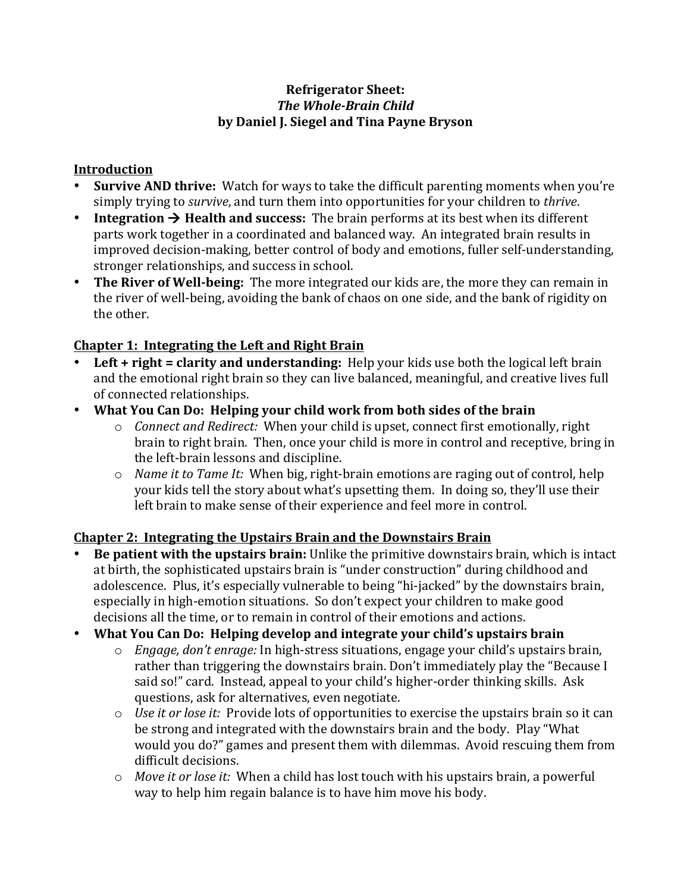#### **Refrigerator Sheet: The Whole-Brain Child** by Daniel J. Siegel and Tina Payne Bryson

#### **Introduction**

- **Survive AND thrive:** Watch for ways to take the difficult parenting moments when you're simply trying to *survive*, and turn them into opportunities for your children to *thrive*.
- **Integration**  $\rightarrow$  **Health and success:** The brain performs at its best when its different parts work together in a coordinated and balanced way. An integrated brain results in improved decision-making, better control of body and emotions, fuller self-understanding, stronger relationships, and success in school.
- The River of Well-being: The more integrated our kids are, the more they can remain in the river of well-being, avoiding the bank of chaos on one side, and the bank of rigidity on the other.

# **Chapter 1: Integrating the Left and Right Brain**

- **Left** + **right** = **clarity and understanding:** Help your kids use both the logical left brain and the emotional right brain so they can live balanced, meaningful, and creative lives full of connected relationships.
- What You Can Do: Helping your child work from both sides of the brain
	- o *Connect and Redirect:* When your child is upset, connect first emotionally, right brain to right brain. Then, once your child is more in control and receptive, bring in the left-brain lessons and discipline.
	- $\circ$  *Name it to Tame It:* When big, right-brain emotions are raging out of control, help your kids tell the story about what's upsetting them. In doing so, they'll use their left brain to make sense of their experience and feel more in control.

# **Chapter 2: Integrating the Upstairs Brain and the Downstairs Brain**

- **Be patient with the upstairs brain:** Unlike the primitive downstairs brain, which is intact at birth, the sophisticated upstairs brain is "under construction" during childhood and adolescence. Plus, it's especially vulnerable to being "hi-jacked" by the downstairs brain, especially in high-emotion situations. So don't expect your children to make good decisions all the time, or to remain in control of their emotions and actions.
- What You Can Do: Helping develop and integrate your child's upstairs brain
	- o *Engage, don't enrage:* In high-stress situations, engage your child's upstairs brain, rather than triggering the downstairs brain. Don't immediately play the "Because I said so!" card. Instead, appeal to your child's higher-order thinking skills. Ask questions, ask for alternatives, even negotiate.
	- $\circ$  *Use it or lose it:* Provide lots of opportunities to exercise the upstairs brain so it can be strong and integrated with the downstairs brain and the body. Play "What would you do?" games and present them with dilemmas. Avoid rescuing them from difficult decisions.
	- o *Move it or lose it:* When a child has lost touch with his upstairs brain, a powerful way to help him regain balance is to have him move his body.